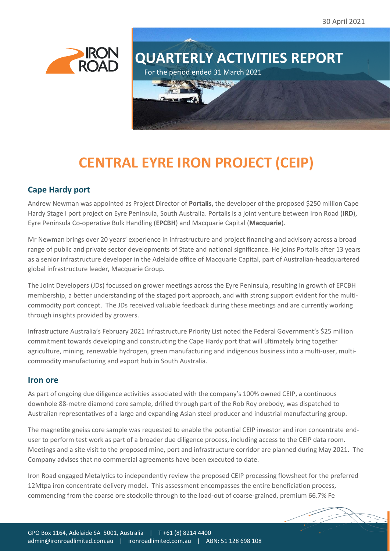30 April 2021





# **CENTRAL EYRE IRON PROJECT (CEIP)**

# **Cape Hardy port**

Andrew Newman was appointed as Project Director of **Portalis,** the developer of the proposed \$250 million Cape Hardy Stage I port project on Eyre Peninsula, South Australia. Portalis is a joint venture between Iron Road (**IRD**), Eyre Peninsula Co-operative Bulk Handling (**EPCBH**) and Macquarie Capital (**Macquarie**).

Mr Newman brings over 20 years' experience in infrastructure and project financing and advisory across a broad range of public and private sector developments of State and national significance. He joins Portalis after 13 years as a senior infrastructure developer in the Adelaide office of Macquarie Capital, part of Australian-headquartered global infrastructure leader, Macquarie Group.

The Joint Developers (JDs) focussed on grower meetings across the Eyre Peninsula, resulting in growth of EPCBH membership, a better understanding of the staged port approach, and with strong support evident for the multicommodity port concept. The JDs received valuable feedback during these meetings and are currently working through insights provided by growers.

Infrastructure Australia's February 2021 Infrastructure Priority List noted the Federal Government's \$25 million commitment towards developing and constructing the Cape Hardy port that will ultimately bring together agriculture, mining, renewable hydrogen, green manufacturing and indigenous business into a multi-user, multicommodity manufacturing and export hub in South Australia.

# **Iron ore**

As part of ongoing due diligence activities associated with the company's 100% owned CEIP, a continuous downhole 88-metre diamond core sample, drilled through part of the Rob Roy orebody, was dispatched to Australian representatives of a large and expanding Asian steel producer and industrial manufacturing group.

The magnetite gneiss core sample was requested to enable the potential CEIP investor and iron concentrate enduser to perform test work as part of a broader due diligence process, including access to the CEIP data room. Meetings and a site visit to the proposed mine, port and infrastructure corridor are planned during May 2021. The Company advises that no commercial agreements have been executed to date.

Iron Road engaged Metalytics to independently review the proposed CEIP processing flowsheet for the preferred 12Mtpa iron concentrate delivery model. This assessment encompasses the entire beneficiation process, commencing from the coarse ore stockpile through to the load-out of coarse-grained, premium 66.7% Fe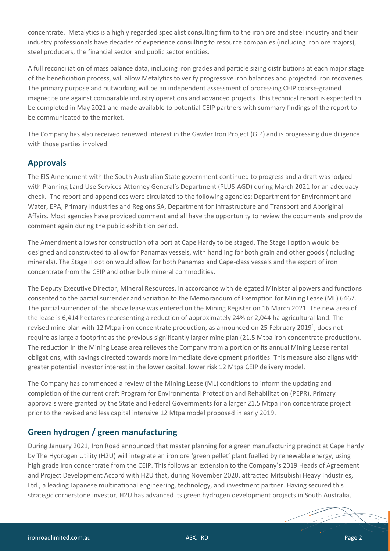concentrate. Metalytics is a highly regarded specialist consulting firm to the iron ore and steel industry and their industry professionals have decades of experience consulting to resource companies (including iron ore majors), steel producers, the financial sector and public sector entities.

A full reconciliation of mass balance data, including iron grades and particle sizing distributions at each major stage of the beneficiation process, will allow Metalytics to verify progressive iron balances and projected iron recoveries. The primary purpose and outworking will be an independent assessment of processing CEIP coarse-grained magnetite ore against comparable industry operations and advanced projects. This technical report is expected to be completed in May 2021 and made available to potential CEIP partners with summary findings of the report to be communicated to the market.

The Company has also received renewed interest in the Gawler Iron Project (GIP) and is progressing due diligence with those parties involved.

# **Approvals**

The EIS Amendment with the South Australian State government continued to progress and a draft was lodged with Planning Land Use Services-Attorney General's Department (PLUS-AGD) during March 2021 for an adequacy check. The report and appendices were circulated to the following agencies: Department for Environment and Water, EPA, Primary Industries and Regions SA, Department for Infrastructure and Transport and Aboriginal Affairs. Most agencies have provided comment and all have the opportunity to review the documents and provide comment again during the public exhibition period.

The Amendment allows for construction of a port at Cape Hardy to be staged. The Stage I option would be designed and constructed to allow for Panamax vessels, with handling for both grain and other goods (including minerals). The Stage II option would allow for both Panamax and Cape-class vessels and the export of iron concentrate from the CEIP and other bulk mineral commodities.

The Deputy Executive Director, Mineral Resources, in accordance with delegated Ministerial powers and functions consented to the partial surrender and variation to the Memorandum of Exemption for Mining Lease (ML) 6467. The partial surrender of the above lease was entered on the Mining Register on 16 March 2021. The new area of the lease is 6,414 hectares representing a reduction of approximately 24% or 2,044 ha agricultural land. The revised mine plan with 12 Mtpa iron concentrate production, as announced on 25 February 2019<sup>1</sup>, does not require as large a footprint as the previous significantly larger mine plan (21.5 Mtpa iron concentrate production). The reduction in the Mining Lease area relieves the Company from a portion of its annual Mining Lease rental obligations, with savings directed towards more immediate development priorities. This measure also aligns with greater potential investor interest in the lower capital, lower risk 12 Mtpa CEIP delivery model.

The Company has commenced a review of the Mining Lease (ML) conditions to inform the updating and completion of the current draft Program for Environmental Protection and Rehabilitation (PEPR). Primary approvals were granted by the State and Federal Governments for a larger 21.5 Mtpa iron concentrate project prior to the revised and less capital intensive 12 Mtpa model proposed in early 2019.

# **Green hydrogen / green manufacturing**

During January 2021, Iron Road announced that master planning for a green manufacturing precinct at Cape Hardy by The Hydrogen Utility (H2U) will integrate an iron ore 'green pellet' plant fuelled by renewable energy, using high grade iron concentrate from the CEIP. This follows an extension to the Company's 2019 Heads of Agreement and Project Development Accord with H2U that, during November 2020, attracted Mitsubishi Heavy Industries, Ltd., a leading Japanese multinational engineering, technology, and investment partner. Having secured this strategic cornerstone investor, H2U has advanced its green hydrogen development projects in South Australia,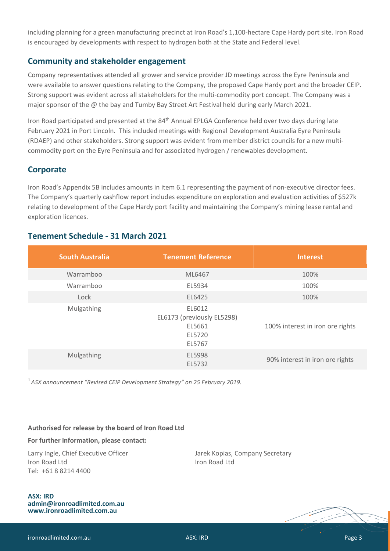including planning for a green manufacturing precinct at Iron Road's 1,100-hectare Cape Hardy port site. Iron Road is encouraged by developments with respect to hydrogen both at the State and Federal level.

# **Community and stakeholder engagement**

Company representatives attended all grower and service provider JD meetings across the Eyre Peninsula and were available to answer questions relating to the Company, the proposed Cape Hardy port and the broader CEIP. Strong support was evident across all stakeholders for the multi-commodity port concept. The Company was a major sponsor of the @ the bay and Tumby Bay Street Art Festival held during early March 2021.

Iron Road participated and presented at the 84th Annual EPLGA Conference held over two days during late February 2021 in Port Lincoln. This included meetings with Regional Development Australia Eyre Peninsula (RDAEP) and other stakeholders. Strong support was evident from member district councils for a new multicommodity port on the Eyre Peninsula and for associated hydrogen / renewables development.

### **Corporate**

Iron Road's Appendix 5B includes amounts in item 6.1 representing the payment of non-executive director fees. The Company's quarterly cashflow report includes expenditure on exploration and evaluation activities of \$527k relating to development of the Cape Hardy port facility and maintaining the Company's mining lease rental and exploration licences.

| <b>South Australia</b> | <b>Tenement Reference</b>                                          | <b>Interest</b>                  |
|------------------------|--------------------------------------------------------------------|----------------------------------|
| Warramboo              | ML6467                                                             | 100%                             |
| Warramboo              | EL5934                                                             | 100%                             |
| Lock                   | EL6425                                                             | 100%                             |
| <b>Mulgathing</b>      | EL6012<br>EL6173 (previously EL5298)<br>EL5661<br>EL5720<br>EL5767 | 100% interest in iron ore rights |
| Mulgathing             | EL5998<br>EL5732                                                   | 90% interest in iron ore rights  |

# **Tenement Schedule - 31 March 2021**

<sup>1</sup> *ASX announcement "[Revised CEIP Development Strategy](http://clients2.weblink.com.au/clients/ironroad/article.asp?asx=IRD&view=21134555)" on 25 February 2019.*

#### **Authorised for release by the board of Iron Road Ltd**

#### **For further information, please contact:**

Larry Ingle, Chief Executive Officer **Jarek Kopias, Company Secretary Iron Road Ltd Iron Road Ltd** Tel: +61 8 8214 4400

#### **ASX: IRD [admin@ironroadlimited.com.au](mailto:admin@ironroadlimited.com.au) [www.ironroadlimited.com.au](http://www.ironroadlimited.com.au/)**

ironroadlimited.com.au ASX: IRD Page 3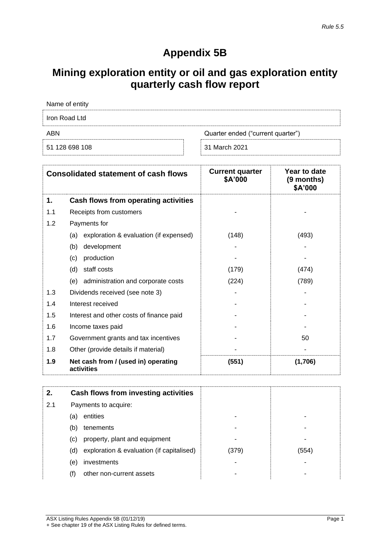# **Appendix 5B**

# **Mining exploration entity or oil and gas exploration entity quarterly cash flow report**

| Name of entity |                                   |
|----------------|-----------------------------------|
| Iron Road Ltd  |                                   |
| ABN            | Quarter ended ("current quarter") |
| 51 128 698 108 | 31 March 2021                     |

|     | <b>Consolidated statement of cash flows</b>       | <b>Current quarter</b><br>\$A'000 | Year to date<br>(9 months)<br>\$A'000 |
|-----|---------------------------------------------------|-----------------------------------|---------------------------------------|
| 1.  | Cash flows from operating activities              |                                   |                                       |
| 1.1 | Receipts from customers                           |                                   |                                       |
| 1.2 | Payments for                                      |                                   |                                       |
|     | exploration & evaluation (if expensed)<br>(a)     | (148)                             | (493)                                 |
|     | (b)<br>development                                |                                   |                                       |
|     | production<br>(c)                                 |                                   |                                       |
|     | staff costs<br>(d)                                | (179)                             | (474)                                 |
|     | administration and corporate costs<br>(e)         | (224)                             | (789)                                 |
| 1.3 | Dividends received (see note 3)                   |                                   |                                       |
| 1.4 | Interest received                                 |                                   |                                       |
| 1.5 | Interest and other costs of finance paid          |                                   |                                       |
| 1.6 | Income taxes paid                                 |                                   |                                       |
| 1.7 | Government grants and tax incentives              |                                   | 50                                    |
| 1.8 | Other (provide details if material)               |                                   |                                       |
| 1.9 | Net cash from / (used in) operating<br>activities | (551)                             | (1,706)                               |

| 2.  | Cash flows from investing activities             |       |       |
|-----|--------------------------------------------------|-------|-------|
| 2.1 | Payments to acquire:                             |       |       |
|     | entities<br>(a)                                  |       |       |
|     | (b)<br>tenements                                 |       |       |
|     | property, plant and equipment<br>(C)             |       |       |
|     | exploration & evaluation (if capitalised)<br>(d) | (379) | (554) |
|     | investments<br>(e)                               |       |       |
|     | other non-current assets<br>(†)                  |       |       |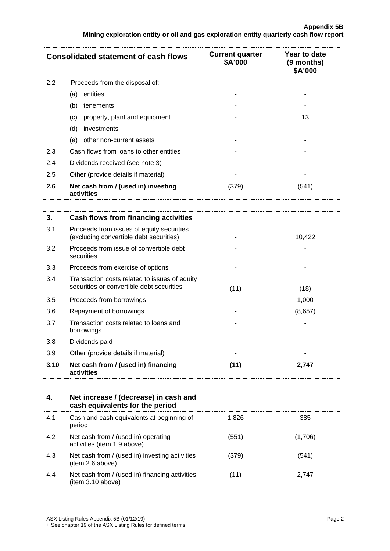|     | <b>Consolidated statement of cash flows</b>       | <b>Current quarter</b><br>\$A'000 | Year to date<br>(9 months)<br>\$A'000 |
|-----|---------------------------------------------------|-----------------------------------|---------------------------------------|
| 2.2 | Proceeds from the disposal of:                    |                                   |                                       |
|     | entities<br>(a)                                   |                                   |                                       |
|     | (b)<br>tenements                                  |                                   |                                       |
|     | property, plant and equipment<br>(c)              |                                   | 13                                    |
|     | (d)<br>investments                                |                                   |                                       |
|     | (e)<br>other non-current assets                   |                                   |                                       |
| 2.3 | Cash flows from loans to other entities           |                                   |                                       |
| 2.4 | Dividends received (see note 3)                   |                                   |                                       |
| 2.5 | Other (provide details if material)               |                                   |                                       |
| 2.6 | Net cash from / (used in) investing<br>activities | (379)                             | (541)                                 |

| 3.   | Cash flows from financing activities                                                       |      |         |
|------|--------------------------------------------------------------------------------------------|------|---------|
| 3.1  | Proceeds from issues of equity securities<br>(excluding convertible debt securities)       |      | 10,422  |
| 3.2  | Proceeds from issue of convertible debt<br>securities                                      |      |         |
| 3.3  | Proceeds from exercise of options                                                          |      |         |
| 3.4  | Transaction costs related to issues of equity<br>securities or convertible debt securities | (11) | (18)    |
| 3.5  | Proceeds from borrowings                                                                   |      | 1,000   |
| 3.6  | Repayment of borrowings                                                                    |      | (8,657) |
| 3.7  | Transaction costs related to loans and<br>borrowings                                       |      |         |
| 3.8  | Dividends paid                                                                             |      |         |
| 3.9  | Other (provide details if material)                                                        |      |         |
| 3.10 | Net cash from / (used in) financing<br>activities                                          | (11) | 2,747   |

| 4.  | Net increase / (decrease) in cash and<br>cash equivalents for the period |       |         |
|-----|--------------------------------------------------------------------------|-------|---------|
| 4.1 | Cash and cash equivalents at beginning of<br>period                      | 1.826 | 385     |
| 4.2 | Net cash from / (used in) operating<br>activities (item 1.9 above)       | (551) | (1,706) |
| 4.3 | Net cash from / (used in) investing activities<br>(item 2.6 above)       | (379) | (541)   |
| 4.4 | Net cash from / (used in) financing activities<br>(item 3.10 above)      | (11)  | 2.747   |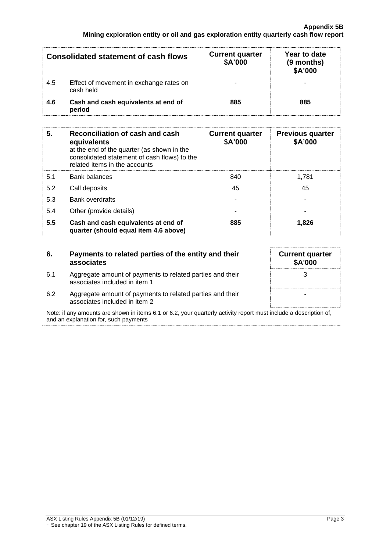|     | Consolidated statement of cash flows                 | <b>Current quarter</b><br>\$A'000 | Year to date<br>(9 months)<br>\$A'000 |
|-----|------------------------------------------------------|-----------------------------------|---------------------------------------|
| 4.5 | Effect of movement in exchange rates on<br>cash held |                                   |                                       |
| 4.6 | Cash and cash equivalents at end of<br>period        | 885                               | 885                                   |

| 5.  | Reconciliation of cash and cash<br>equivalents<br>at the end of the quarter (as shown in the<br>consolidated statement of cash flows) to the<br>related items in the accounts | <b>Current quarter</b><br>\$A'000 | <b>Previous quarter</b><br>\$A'000 |
|-----|-------------------------------------------------------------------------------------------------------------------------------------------------------------------------------|-----------------------------------|------------------------------------|
| 5.1 | <b>Bank balances</b>                                                                                                                                                          | 840                               | 1.781                              |
| 5.2 | Call deposits                                                                                                                                                                 | 45                                | 45                                 |
| 5.3 | Bank overdrafts                                                                                                                                                               |                                   |                                    |
| 5.4 | Other (provide details)                                                                                                                                                       |                                   |                                    |
| 5.5 | Cash and cash equivalents at end of<br>quarter (should equal item 4.6 above)                                                                                                  | 885                               | 1.826                              |

| 6.  | Payments to related parties of the entity and their<br>associates                          | <b>Current quarter</b><br>\$A'000 |
|-----|--------------------------------------------------------------------------------------------|-----------------------------------|
| 6.1 | Aggregate amount of payments to related parties and their<br>associates included in item 1 |                                   |
| 6.2 | Aggregate amount of payments to related parties and their<br>associates included in item 2 |                                   |

Note: if any amounts are shown in items 6.1 or 6.2, your quarterly activity report must include a description of, and an explanation for, such payments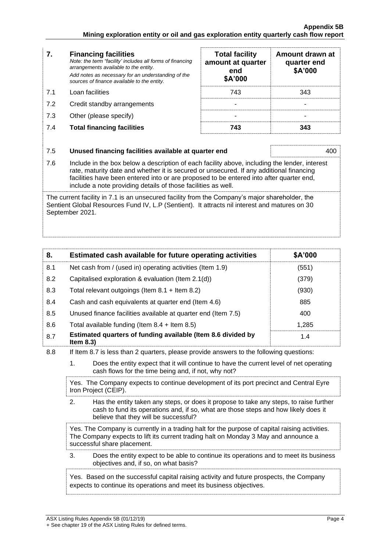| 7.  | <b>Financing facilities</b><br>Note: the term "facility' includes all forms of financing<br>arrangements available to the entity.<br>Add notes as necessary for an understanding of the<br>sources of finance available to the entity. | <b>Total facility</b><br>amount at quarter<br>end<br>\$A'000 | Amount drawn at<br>quarter end<br>\$A'000 |
|-----|----------------------------------------------------------------------------------------------------------------------------------------------------------------------------------------------------------------------------------------|--------------------------------------------------------------|-------------------------------------------|
| 7.1 | Loan facilities                                                                                                                                                                                                                        | 743                                                          | 343                                       |
| 7.2 | Credit standby arrangements                                                                                                                                                                                                            |                                                              |                                           |
| 7.3 | Other (please specify)                                                                                                                                                                                                                 |                                                              |                                           |
| 7.4 | <b>Total financing facilities</b>                                                                                                                                                                                                      | 743                                                          | 343                                       |
| 7.5 | Unused financing facilities available at quarter end                                                                                                                                                                                   |                                                              | 400                                       |

7.6 Include in the box below a description of each facility above, including the lender, interest rate, maturity date and whether it is secured or unsecured. If any additional financing facilities have been entered into or are proposed to be entered into after quarter end, include a note providing details of those facilities as well.

The current facility in 7.1 is an unsecured facility from the Company's major shareholder, the Sentient Global Resources Fund IV, L.P (Sentient). It attracts nil interest and matures on 30 September 2021.

| 8.  | Estimated cash available for future operating activities                     | \$A'000 |
|-----|------------------------------------------------------------------------------|---------|
| 8.1 | Net cash from / (used in) operating activities (Item 1.9)                    | (551)   |
| 8.2 | Capitalised exploration & evaluation (Item $2.1(d)$ )                        | (379)   |
| 8.3 | Total relevant outgoings (Item $8.1 +$ Item $8.2$ )                          | (930)   |
| 8.4 | Cash and cash equivalents at quarter end (Item 4.6)                          | 885     |
| 8.5 | Unused finance facilities available at quarter end (Item 7.5)                | 400     |
| 8.6 | Total available funding (Item $8.4$ + Item $8.5$ )                           | 1.285   |
| 8.7 | Estimated quarters of funding available (Item 8.6 divided by<br>Item $8.3$ ) | 1.4     |

8.8 If Item 8.7 is less than 2 quarters, please provide answers to the following questions:

1. Does the entity expect that it will continue to have the current level of net operating cash flows for the time being and, if not, why not?

Yes. The Company expects to continue development of its port precinct and Central Eyre Iron Project (CEIP).

2. Has the entity taken any steps, or does it propose to take any steps, to raise further cash to fund its operations and, if so, what are those steps and how likely does it believe that they will be successful?

Yes. The Company is currently in a trading halt for the purpose of capital raising activities. The Company expects to lift its current trading halt on Monday 3 May and announce a successful share placement.

3. Does the entity expect to be able to continue its operations and to meet its business objectives and, if so, on what basis?

Yes. Based on the successful capital raising activity and future prospects, the Company expects to continue its operations and meet its business objectives.